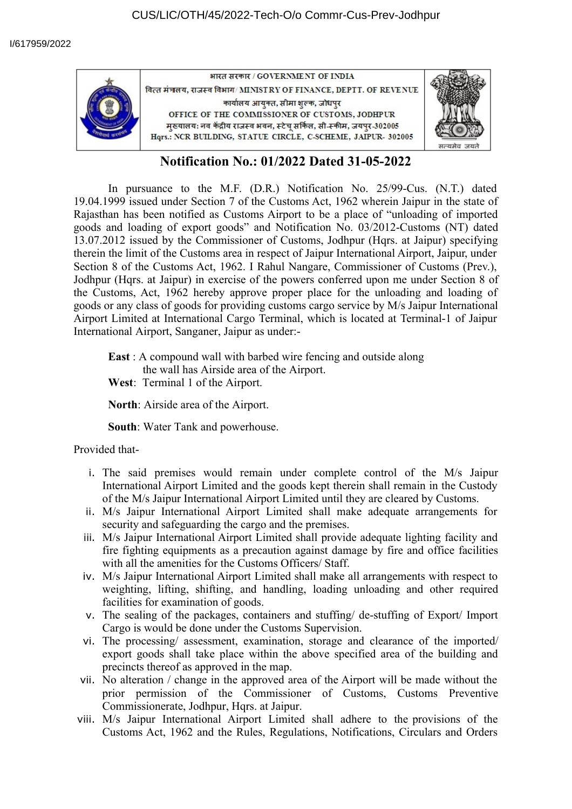

## **Notification No.: 01/2022 Dated 31-05-2022**

In pursuance to the M.F. (D.R.) Notification No. 25/99-Cus. (N.T.) dated 19.04.1999 issued under Section 7 of the Customs Act, 1962 wherein Jaipur in the state of Rajasthan has been notified as Customs Airport to be a place of "unloading of imported goods and loading of export goods" and Notification No. 03/2012-Customs (NT) dated 13.07.2012 issued by the Commissioner of Customs, Jodhpur (Hqrs. at Jaipur) specifying therein the limit of the Customs area in respect of Jaipur International Airport, Jaipur, under Section 8 of the Customs Act, 1962. I Rahul Nangare, Commissioner of Customs (Prev.), Jodhpur (Hqrs. at Jaipur) in exercise of the powers conferred upon me under Section 8 of the Customs, Act, 1962 hereby approve proper place for the unloading and loading of goods or any class of goods for providing customs cargo service by M/s Jaipur International Airport Limited at International Cargo Terminal, which is located at Terminal-1 of Jaipur International Airport, Sanganer, Jaipur as under:-

**East** : A compound wall with barbed wire fencing and outside along the wall has Airside area of the Airport.

**West**: Terminal 1 of the Airport.

**North**: Airside area of the Airport.

**South**: Water Tank and powerhouse.

Provided that-

- i. The said premises would remain under complete control of the M/s Jaipur International Airport Limited and the goods kept therein shall remain in the Custody of the M/s Jaipur International Airport Limited until they are cleared by Customs.
- ii. M/s Jaipur International Airport Limited shall make adequate arrangements for security and safeguarding the cargo and the premises.
- iii. M/s Jaipur International Airport Limited shall provide adequate lighting facility and fire fighting equipments as a precaution against damage by fire and office facilities with all the amenities for the Customs Officers/ Staff.
- iv. M/s Jaipur International Airport Limited shall make all arrangements with respect to weighting, lifting, shifting, and handling, loading unloading and other required facilities for examination of goods.
- v. The sealing of the packages, containers and stuffing/ de-stuffing of Export/ Import Cargo is would be done under the Customs Supervision.
- vi. The processing/ assessment, examination, storage and clearance of the imported/ export goods shall take place within the above specified area of the building and precincts thereof as approved in the map.
- vii. No alteration / change in the approved area of the Airport will be made without the prior permission of the Commissioner of Customs, Customs Preventive Commissionerate, Jodhpur, Hqrs. at Jaipur.
- viii. M/s Jaipur International Airport Limited shall adhere to the provisions of the Customs Act, 1962 and the Rules, Regulations, Notifications, Circulars and Orders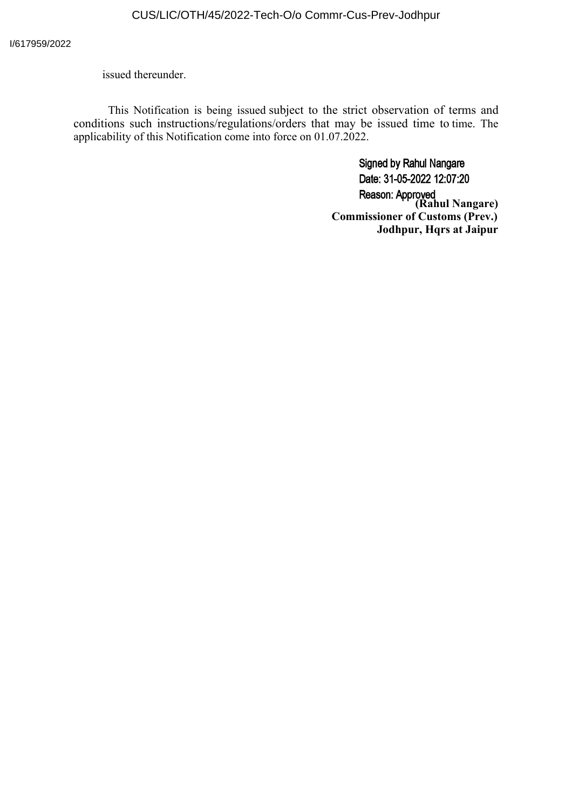issued thereunder.

This Notification is being issued subject to the strict observation of terms and conditions such instructions/regulations/orders that may be issued time to time. The applicability of this Notification come into force on 01.07.2022.

> **Signed by Rahul Nangare** Date: 31-05-2022 12:07:20 **(Rahul Nangare) Commissioner of Customs (Prev.) Jodhpur, Hqrs at Jaipur**